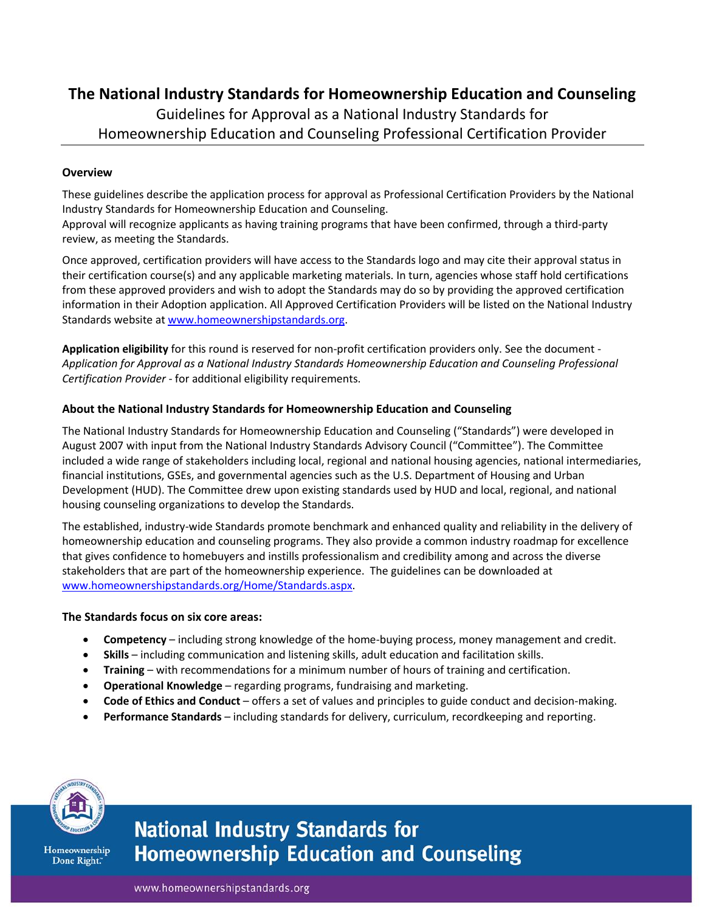# **The National Industry Standards for Homeownership Education and Counseling**

# Guidelines for Approval as a National Industry Standards for Homeownership Education and Counseling Professional Certification Provider

### **Overview**

These guidelines describe the application process for approval as Professional Certification Providers by the National Industry Standards for Homeownership Education and Counseling.

Approval will recognize applicants as having training programs that have been confirmed, through a third-party review, as meeting the Standards.

Once approved, certification providers will have access to the Standards logo and may cite their approval status in their certification course(s) and any applicable marketing materials. In turn, agencies whose staff hold certifications from these approved providers and wish to adopt the Standards may do so by providing the approved certification information in their Adoption application. All Approved Certification Providers will be listed on the National Industry Standards website at [www.homeownershipstandards.org.](http://www.homeownershipstandards.org/)

**Application eligibility** for this round is reserved for non-profit certification providers only. See the document - *Application for Approval as a National Industry Standards Homeownership Education and Counseling Professional Certification Provider* - for additional eligibility requirements.

### **About the National Industry Standards for Homeownership Education and Counseling**

The National Industry Standards for Homeownership Education and Counseling ("Standards") were developed in August 2007 with input from the National Industry Standards Advisory Council ("Committee"). The Committee included a wide range of stakeholders including local, regional and national housing agencies, national intermediaries, financial institutions, GSEs, and governmental agencies such as the U.S. Department of Housing and Urban Development (HUD). The Committee drew upon existing standards used by HUD and local, regional, and national housing counseling organizations to develop the Standards.

The established, industry-wide Standards promote benchmark and enhanced quality and reliability in the delivery of homeownership education and counseling programs. They also provide a common industry roadmap for excellence that gives confidence to homebuyers and instills professionalism and credibility among and across the diverse stakeholders that are part of the homeownership experience. The guidelines can be downloaded at [www.homeownershipstandards.org/Home/Standards.aspx.](http://www.homeownershipstandards.org/Home/Standards.aspx)

#### **The Standards focus on six core areas:**

- **Competency** including strong knowledge of the home-buying process, money management and credit.
- **Skills** including communication and listening skills, adult education and facilitation skills.
- **Training** with recommendations for a minimum number of hours of training and certification.
- **Operational Knowledge** regarding programs, fundraising and marketing.
- **Code of Ethics and Conduct** offers a set of values and principles to guide conduct and decision-making.
- **Performance Standards** including standards for delivery, curriculum, recordkeeping and reporting.



Homeownership Done Right."

# **National Industry Standards for Homeownership Education and Counseling**

www.homeownershipstandards.org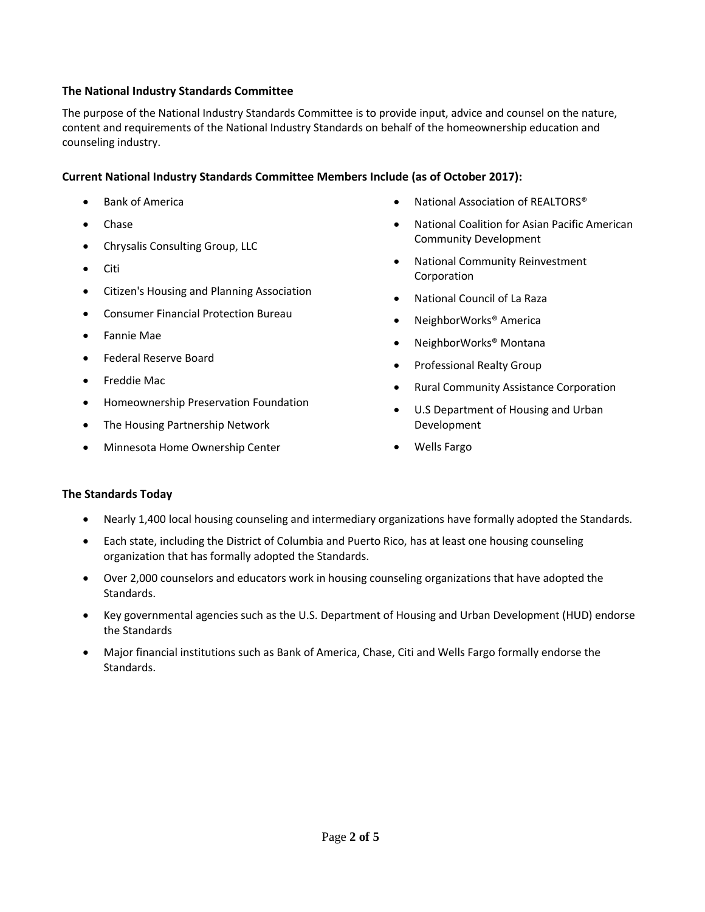# **The National Industry Standards Committee**

The purpose of the National Industry Standards Committee is to provide input, advice and counsel on the nature, content and requirements of the National Industry Standards on behalf of the homeownership education and counseling industry.

# **Current National Industry Standards Committee Members Include (as of October 2017):**

- Bank of America
- Chase
- Chrysalis Consulting Group, LLC
- Citi
- Citizen's Housing and Planning Association
- Consumer Financial Protection Bureau
- Fannie Mae
- Federal Reserve Board
- Freddie Mac
- Homeownership Preservation Foundation
- The Housing Partnership Network
- Minnesota Home Ownership Center
- National Association of REALTORS®
- National Coalition for Asian Pacific American Community Development
- National Community Reinvestment **Corporation**
- National Council of La Raza
- NeighborWorks® America
- NeighborWorks® Montana
- Professional Realty Group
- Rural Community Assistance Corporation
- U.S Department of Housing and Urban Development
- Wells Fargo

### **The Standards Today**

- Nearly 1,400 local housing counseling and intermediary organizations have formally adopted the Standards.
- Each state, including the District of Columbia and Puerto Rico, has at least one housing counseling organization that has formally adopted the Standards.
- Over 2,000 counselors and educators work in housing counseling organizations that have adopted the Standards.
- Key governmental agencies such as the U.S. Department of Housing and Urban Development (HUD) endorse the Standards
- Major financial institutions such as Bank of America, Chase, Citi and Wells Fargo formally endorse the Standards.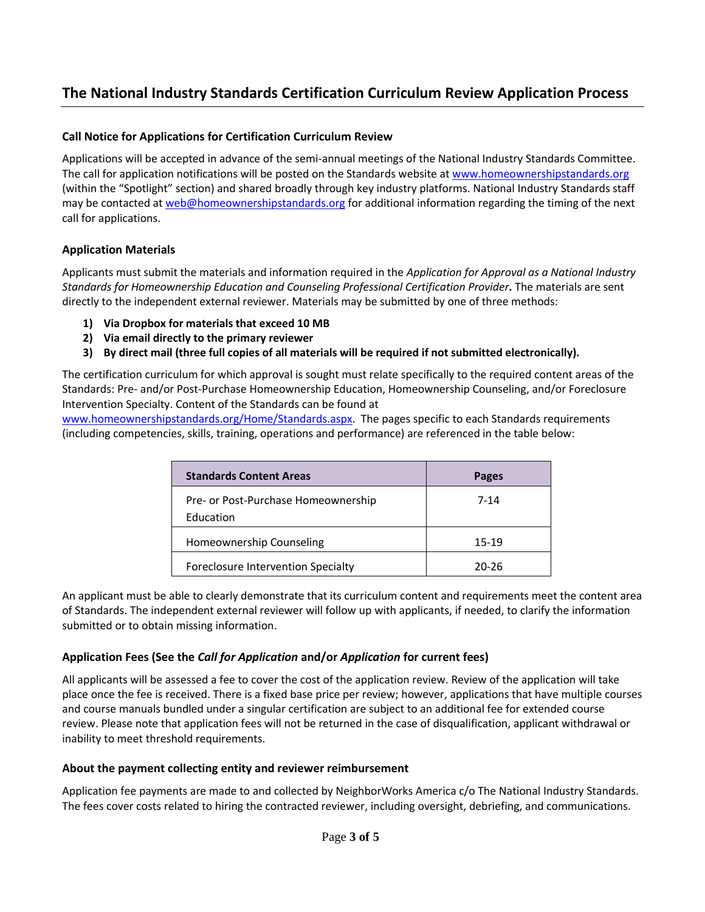# **The National Industry Standards Certification Curriculum Review Application Process**

# **Call Notice for Applications for Certification Curriculum Review**

Applications will be accepted in advance of the semi-annual meetings of the National Industry Standards Committee. The call for application notifications will be posted on the Standards website at [www.homeownershipstandards.org](http://www.homeownershipstandards.org/) (within the "Spotlight" section) and shared broadly through key industry platforms. National Industry Standards staff may be contacted a[t web@homeownershipstandards.org](mailto:web@homeownershipstandards.org) for additional information regarding the timing of the next call for applications.

# **Application Materials**

Applicants must submit the materials and information required in the *Application for Approval as a National Industry Standards for Homeownership Education and Counseling Professional Certification Provider***.** The materials are sent directly to the independent external reviewer. Materials may be submitted by one of three methods:

- **1) Via Dropbox for materials that exceed 10 MB**
- **2) Via email directly to the primary reviewer**
- **3) By direct mail (three full copies of all materials will be required if not submitted electronically).**

The certification curriculum for which approval is sought must relate specifically to the required content areas of the Standards: Pre- and/or Post-Purchase Homeownership Education, Homeownership Counseling, and/or Foreclosure Intervention Specialty. Content of the Standards can be found at

[www.homeownershipstandards.org/Home/Standards.aspx.](http://www.homeownershipstandards.org/Home/Standards.aspx) The pages specific to each Standards requirements (including competencies, skills, training, operations and performance) are referenced in the table below:

| <b>Standards Content Areas</b>                   | <b>Pages</b> |
|--------------------------------------------------|--------------|
| Pre- or Post-Purchase Homeownership<br>Education | 7-14         |
| Homeownership Counseling                         | $15-19$      |
| Foreclosure Intervention Specialty               | 20-26        |

An applicant must be able to clearly demonstrate that its curriculum content and requirements meet the content area of Standards. The independent external reviewer will follow up with applicants, if needed, to clarify the information submitted or to obtain missing information.

### **Application Fees (See the** *Call for Application* **and/or** *Application* **for current fees)**

All applicants will be assessed a fee to cover the cost of the application review. Review of the application will take place once the fee is received. There is a fixed base price per review; however, applications that have multiple courses and course manuals bundled under a singular certification are subject to an additional fee for extended course review. Please note that application fees will not be returned in the case of disqualification, applicant withdrawal or inability to meet threshold requirements.

### **About the payment collecting entity and reviewer reimbursement**

Application fee payments are made to and collected by NeighborWorks America c/o The National Industry Standards. The fees cover costs related to hiring the contracted reviewer, including oversight, debriefing, and communications.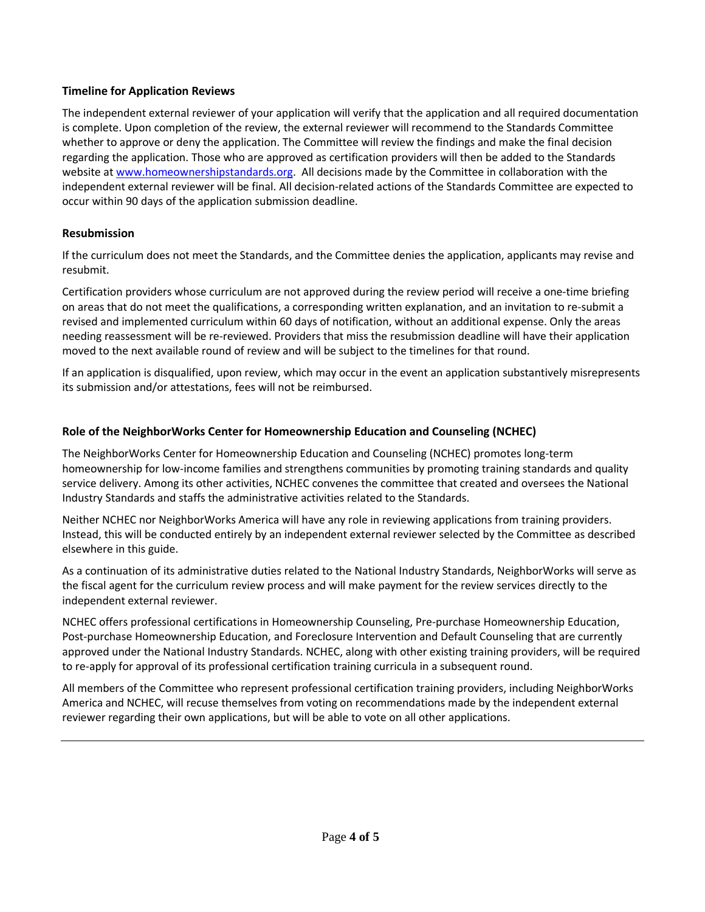# **Timeline for Application Reviews**

The independent external reviewer of your application will verify that the application and all required documentation is complete. Upon completion of the review, the external reviewer will recommend to the Standards Committee whether to approve or deny the application. The Committee will review the findings and make the final decision regarding the application. Those who are approved as certification providers will then be added to the Standards website at [www.homeownershipstandards.org.](http://www.homeownershipstandards.org/) All decisions made by the Committee in collaboration with the independent external reviewer will be final. All decision-related actions of the Standards Committee are expected to occur within 90 days of the application submission deadline.

# **Resubmission**

If the curriculum does not meet the Standards, and the Committee denies the application, applicants may revise and resubmit.

Certification providers whose curriculum are not approved during the review period will receive a one‐time briefing on areas that do not meet the qualifications, a corresponding written explanation, and an invitation to re‐submit a revised and implemented curriculum within 60 days of notification, without an additional expense. Only the areas needing reassessment will be re‐reviewed. Providers that miss the resubmission deadline will have their application moved to the next available round of review and will be subject to the timelines for that round.

If an application is disqualified, upon review, which may occur in the event an application substantively misrepresents its submission and/or attestations, fees will not be reimbursed.

# **Role of the NeighborWorks Center for Homeownership Education and Counseling (NCHEC)**

The NeighborWorks Center for Homeownership Education and Counseling (NCHEC) promotes long-term homeownership for low-income families and strengthens communities by promoting training standards and quality service delivery. Among its other activities, NCHEC convenes the committee that created and oversees the National Industry Standards and staffs the administrative activities related to the Standards.

Neither NCHEC nor NeighborWorks America will have any role in reviewing applications from training providers. Instead, this will be conducted entirely by an independent external reviewer selected by the Committee as described elsewhere in this guide.

As a continuation of its administrative duties related to the National Industry Standards, NeighborWorks will serve as the fiscal agent for the curriculum review process and will make payment for the review services directly to the independent external reviewer.

NCHEC offers professional certifications in Homeownership Counseling, Pre-purchase Homeownership Education, Post-purchase Homeownership Education, and Foreclosure Intervention and Default Counseling that are currently approved under the National Industry Standards. NCHEC, along with other existing training providers, will be required to re-apply for approval of its professional certification training curricula in a subsequent round.

All members of the Committee who represent professional certification training providers, including NeighborWorks America and NCHEC, will recuse themselves from voting on recommendations made by the independent external reviewer regarding their own applications, but will be able to vote on all other applications.